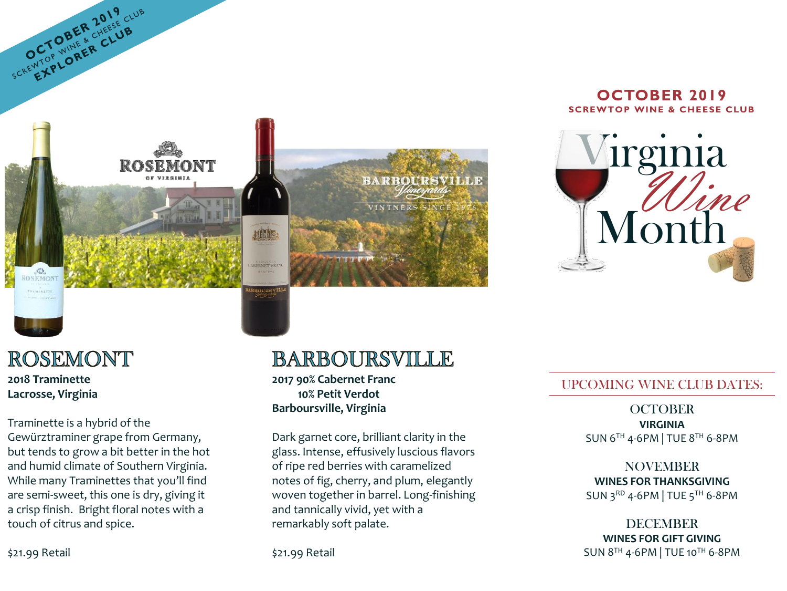

#### **OCTOBER 2019 SCREWTOP WINE & CHEESE CLUB**



## ROSEMONT

SCREWTOP WINER CLUB SCREWTOP CLUB

**2018 Traminette Lacrosse, Virginia**

 $\circledcirc$ **OSEMONT** 

Traminette is a hybrid of the Gewürztraminer grape from Germany, but tends to grow a bit better in the hot and humid climate of Southern Virginia. While many Traminettes that you'll find are semi-sweet, this one is dry, giving it a crisp finish. Bright floral notes with a touch of citrus and spice.

**BARBOURSVILLE** 

**2017 90% Cabernet Franc 10% Petit Verdot Barboursville, Virginia**

Dark garnet core, brilliant clarity in the glass. Intense, effusively luscious flavors of ripe red berries with caramelized notes of fig, cherry, and plum, elegantly woven together in barrel. Long-finishing and tannically vivid, yet with a remarkably soft palate.

\$21.99 Retail

### UPCOMING WINE CLUB DATES:

**OCTOBER VIRGINIA** SUN 6TH 4-6PM | TUE 8TH 6-8PM

NOVEMBER **WINES FOR THANKSGIVING** SUN 3RD 4-6PM | TUE 5TH 6-8PM

DECEMBER **WINES FOR GIFT GIVING** SUN 8TH 4-6PM | TUE 10TH 6-8PM

\$21.99 Retail